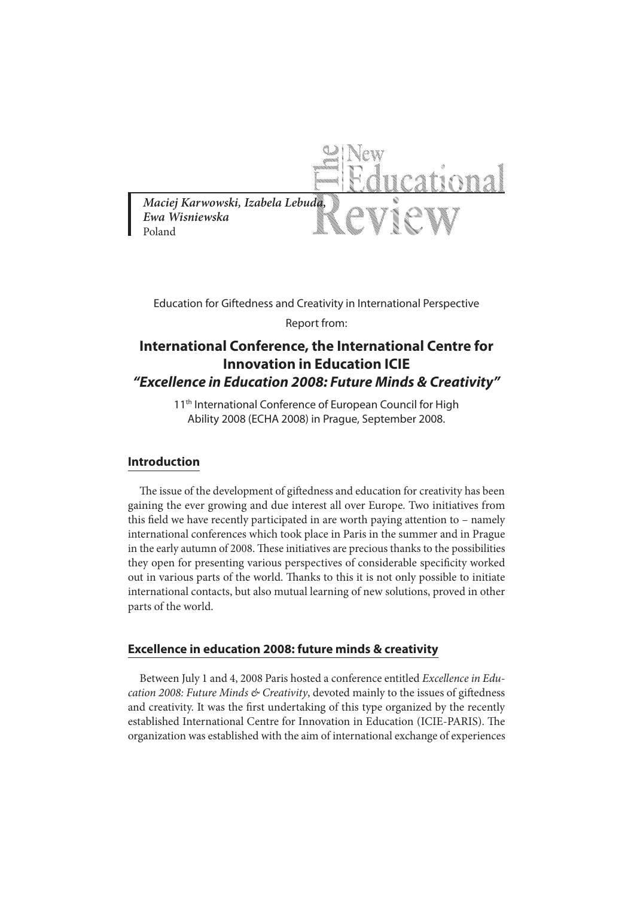

Education for Giftedness and Creativity in International Perspective Report from:

# **International Conference, the International Centre for Innovation in Education ICIE "Excellence in Education 2008: Future Minds & Creativity"**

11<sup>th</sup> International Conference of European Council for High Ability 2008 (ECHA 2008) in Prague, September 2008.

## **Introduction**

The issue of the development of giftedness and education for creativity has been gaining the ever growing and due interest all over Europe. Two initiatives from this field we have recently participated in are worth paying attention to  $-$  namely international conferences which took place in Paris in the summer and in Prague in the early autumn of 2008. These initiatives are precious thanks to the possibilities they open for presenting various perspectives of considerable specificity worked out in various parts of the world. Thanks to this it is not only possible to initiate international contacts, but also mutual learning of new solutions, proved in other parts of the world.

#### **Excellence in education 2008: future minds & creativity**

Between July 1 and 4, 2008 Paris hosted a conference entitled Excellence in Education 2008: Future Minds  $\&$  Creativity, devoted mainly to the issues of giftedness and creativity. It was the first undertaking of this type organized by the recently established International Centre for Innovation in Education (ICIE-PARIS). The organization was established with the aim of international exchange of experiences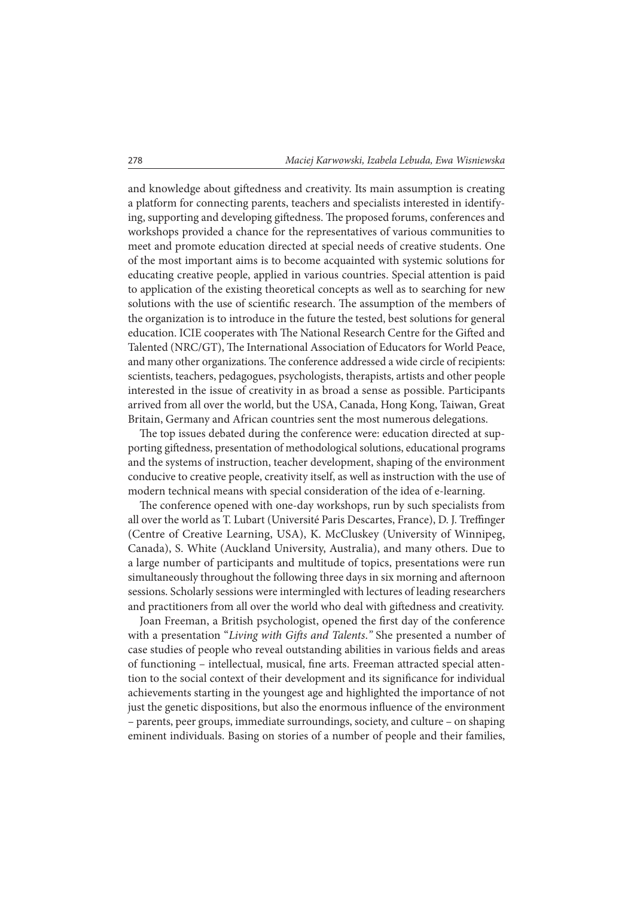and knowledge about giftedness and creativity. Its main assumption is creating a platform for connecting parents, teachers and specialists interested in identifying, supporting and developing giftedness. The proposed forums, conferences and workshops provided a chance for the representatives of various communities to meet and promote education directed at special needs of creative students. One of the most important aims is to become acquainted with systemic solutions for educating creative people, applied in various countries. Special attention is paid to application of the existing theoretical concepts as well as to searching for new solutions with the use of scientific research. The assumption of the members of the organization is to introduce in the future the tested, best solutions for general education. ICIE cooperates with The National Research Centre for the Gifted and Talented (NRC/GT), The International Association of Educators for World Peace, and many other organizations. The conference addressed a wide circle of recipients: scientists, teachers, pedagogues, psychologists, therapists, artists and other people interested in the issue of creativity in as broad a sense as possible. Participants arrived from all over the world, but the USA, Canada, Hong Kong, Taiwan, Great Britain, Germany and African countries sent the most numerous delegations.

The top issues debated during the conference were: education directed at supporting giftedness, presentation of methodological solutions, educational programs and the systems of instruction, teacher development, shaping of the environment conducive to creative people, creativity itself, as well as instruction with the use of modern technical means with special consideration of the idea of e-learning.

The conference opened with one-day workshops, run by such specialists from all over the world as T. Lubart (Université Paris Descartes, France), D. J. Treffinger (Centre of Creative Learning, USA), K. McCluskey (University of Winnipeg, Canada), S. White (Auckland University, Australia), and many others. Due to a large number of participants and multitude of topics, presentations were run simultaneously throughout the following three days in six morning and afternoon sessions. Scholarly sessions were intermingled with lectures of leading researchers and practitioners from all over the world who deal with giftedness and creativity.

Joan Freeman, a British psychologist, opened the first day of the conference with a presentation "Living with Gifts and Talents." She presented a number of case studies of people who reveal outstanding abilities in various fields and areas of functioning – intellectual, musical, fine arts. Freeman attracted special attention to the social context of their development and its significance for individual achievements starting in the youngest age and highlighted the importance of not just the genetic dispositions, but also the enormous influence of the environment – parents, peer groups, immediate surroundings, society, and culture – on shaping eminent individuals. Basing on stories of a number of people and their families,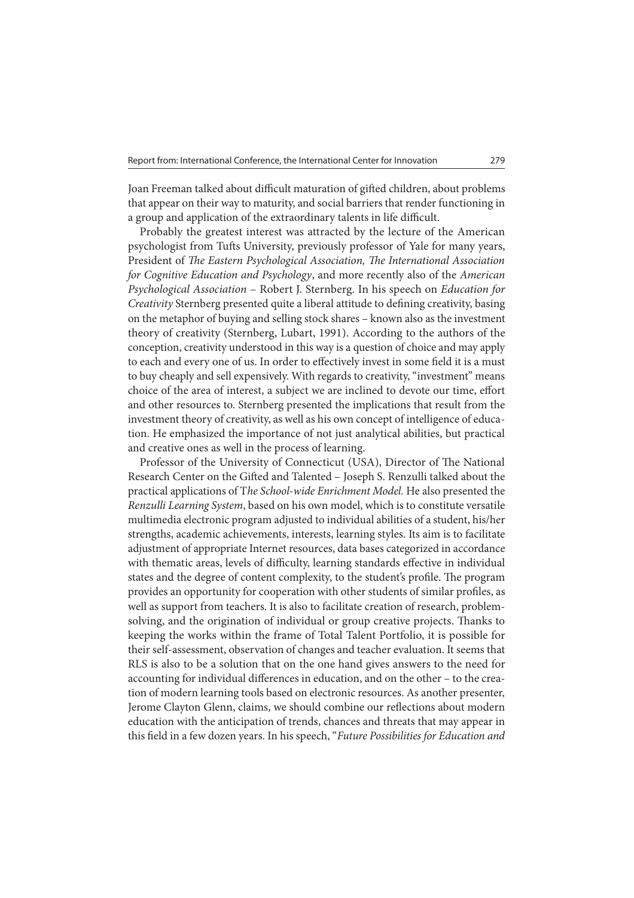Joan Freeman talked about difficult maturation of gifted children, about problems that appear on their way to maturity, and social barriers that render functioning in a group and application of the extraordinary talents in life difficult.

Probably the greatest interest was attracted by the lecture of the American psychologist from Tufts University, previously professor of Yale for many years, President of The Eastern Psychological Association, The International Association for Cognitive Education and Psychology, and more recently also of the American Psychological Association – Robert J. Sternberg. In his speech on Education for Creativity Sternberg presented quite a liberal attitude to defining creativity, basing on the metaphor of buying and selling stock shares – known also as the investment theory of creativity (Sternberg, Lubart, 1991). According to the authors of the conception, creativity understood in this way is a question of choice and may apply to each and every one of us. In order to effectively invest in some field it is a must to buy cheaply and sell expensively. With regards to creativity, "investment" means choice of the area of interest, a subject we are inclined to devote our time, effort and other resources to. Sternberg presented the implications that result from the investment theory of creativity, as well as his own concept of intelligence of education. He emphasized the importance of not just analytical abilities, but practical and creative ones as well in the process of learning.

Professor of the University of Connecticut (USA), Director of The National Research Center on the Gifted and Talented - Joseph S. Renzulli talked about the practical applications of The School-wide Enrichment Model. He also presented the Renzulli Learning System, based on his own model, which is to constitute versatile multimedia electronic program adjusted to individual abilities of a student, his/her strengths, academic achievements, interests, learning styles. Its aim is to facilitate adjustment of appropriate Internet resources, data bases categorized in accordance with thematic areas, levels of difficulty, learning standards effective in individual states and the degree of content complexity, to the student's profile. The program provides an opportunity for cooperation with other students of similar proles, as well as support from teachers. It is also to facilitate creation of research, problemsolving, and the origination of individual or group creative projects. Thanks to keeping the works within the frame of Total Talent Portfolio, it is possible for their self-assessment, observation of changes and teacher evaluation. It seems that RLS is also to be a solution that on the one hand gives answers to the need for accounting for individual differences in education, and on the other – to the creation of modern learning tools based on electronic resources. As another presenter, Jerome Clayton Glenn, claims, we should combine our reflections about modern education with the anticipation of trends, chances and threats that may appear in this field in a few dozen years. In his speech, "Future Possibilities for Education and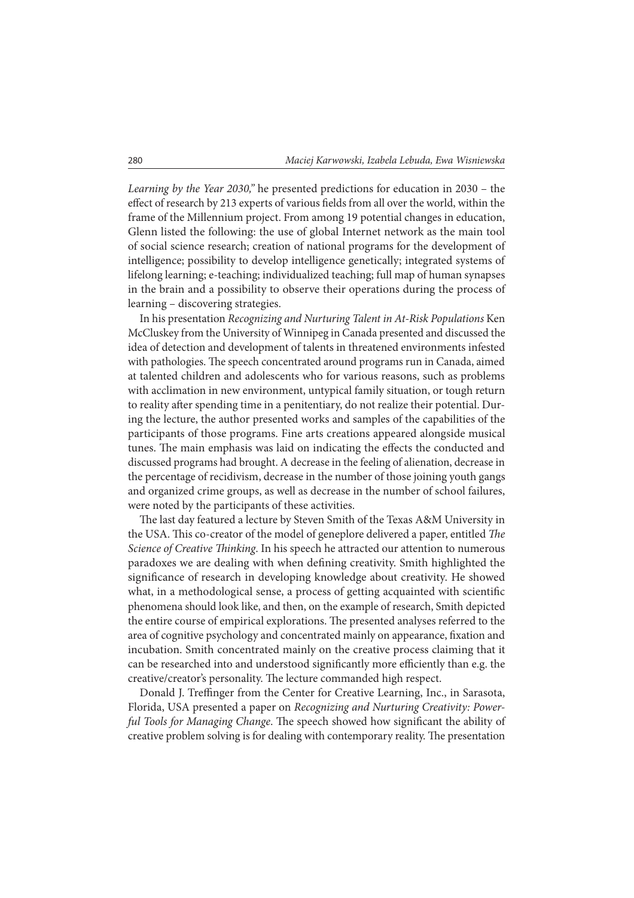Learning by the Year 2030," he presented predictions for education in 2030 – the effect of research by 213 experts of various fields from all over the world, within the frame of the Millennium project. From among 19 potential changes in education, Glenn listed the following: the use of global Internet network as the main tool of social science research; creation of national programs for the development of intelligence; possibility to develop intelligence genetically; integrated systems of lifelong learning; e-teaching; individualized teaching; full map of human synapses in the brain and a possibility to observe their operations during the process of learning – discovering strategies.

In his presentation Recognizing and Nurturing Talent in At-Risk Populations Ken McCluskey from the University of Winnipeg in Canada presented and discussed the idea of detection and development of talents in threatened environments infested with pathologies. The speech concentrated around programs run in Canada, aimed at talented children and adolescents who for various reasons, such as problems with acclimation in new environment, untypical family situation, or tough return to reality after spending time in a penitentiary, do not realize their potential. During the lecture, the author presented works and samples of the capabilities of the participants of those programs. Fine arts creations appeared alongside musical tunes. The main emphasis was laid on indicating the effects the conducted and discussed programs had brought. A decrease in the feeling of alienation, decrease in the percentage of recidivism, decrease in the number of those joining youth gangs and organized crime groups, as well as decrease in the number of school failures, were noted by the participants of these activities.

The last day featured a lecture by Steven Smith of the Texas A&M University in the USA. This co-creator of the model of geneplore delivered a paper, entitled The Science of Creative Thinking. In his speech he attracted our attention to numerous paradoxes we are dealing with when dening creativity. Smith highlighted the significance of research in developing knowledge about creativity. He showed what, in a methodological sense, a process of getting acquainted with scientific phenomena should look like, and then, on the example of research, Smith depicted the entire course of empirical explorations. The presented analyses referred to the area of cognitive psychology and concentrated mainly on appearance, fixation and incubation. Smith concentrated mainly on the creative process claiming that it can be researched into and understood significantly more efficiently than e.g. the creative/creator's personality. The lecture commanded high respect.

Donald J. Treffinger from the Center for Creative Learning, Inc., in Sarasota, Florida, USA presented a paper on Recognizing and Nurturing Creativity: Powerful Tools for Managing Change. The speech showed how significant the ability of creative problem solving is for dealing with contemporary reality. The presentation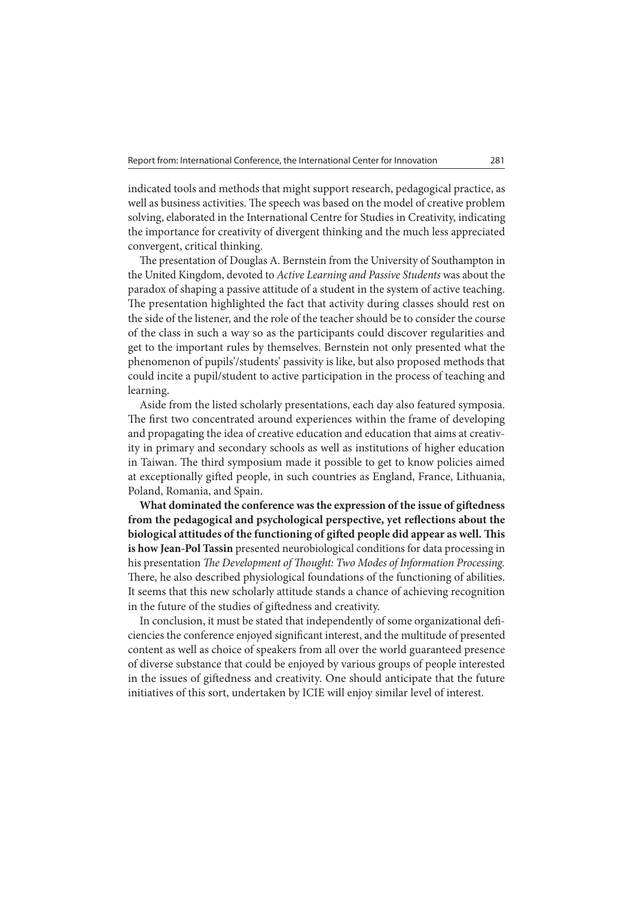indicated tools and methods that might support research, pedagogical practice, as well as business activities. The speech was based on the model of creative problem solving, elaborated in the International Centre for Studies in Creativity, indicating the importance for creativity of divergent thinking and the much less appreciated convergent, critical thinking.

The presentation of Douglas A. Bernstein from the University of Southampton in the United Kingdom, devoted to Active Learning and Passive Students was about the paradox of shaping a passive attitude of a student in the system of active teaching. The presentation highlighted the fact that activity during classes should rest on the side of the listener, and the role of the teacher should be to consider the course of the class in such a way so as the participants could discover regularities and get to the important rules by themselves. Bernstein not only presented what the phenomenon of pupils'/students' passivity is like, but also proposed methods that could incite a pupil/student to active participation in the process of teaching and learning.

Aside from the listed scholarly presentations, each day also featured symposia. The first two concentrated around experiences within the frame of developing and propagating the idea of creative education and education that aims at creativity in primary and secondary schools as well as institutions of higher education in Taiwan. The third symposium made it possible to get to know policies aimed at exceptionally gifted people, in such countries as England, France, Lithuania, Poland, Romania, and Spain.

What dominated the conference was the expression of the issue of giftedness from the pedagogical and psychological perspective, yet reflections about the biological attitudes of the functioning of gifted people did appear as well. This **is how Jean-Pol Tassin** presented neurobiological conditions for data processing in his presentation The Development of Thought: Two Modes of Information Processing. There, he also described physiological foundations of the functioning of abilities. It seems that this new scholarly attitude stands a chance of achieving recognition in the future of the studies of giftedness and creativity.

In conclusion, it must be stated that independently of some organizational deficiencies the conference enjoyed signicant interest, and the multitude of presented content as well as choice of speakers from all over the world guaranteed presence of diverse substance that could be enjoyed by various groups of people interested in the issues of giftedness and creativity. One should anticipate that the future initiatives of this sort, undertaken by ICIE will enjoy similar level of interest.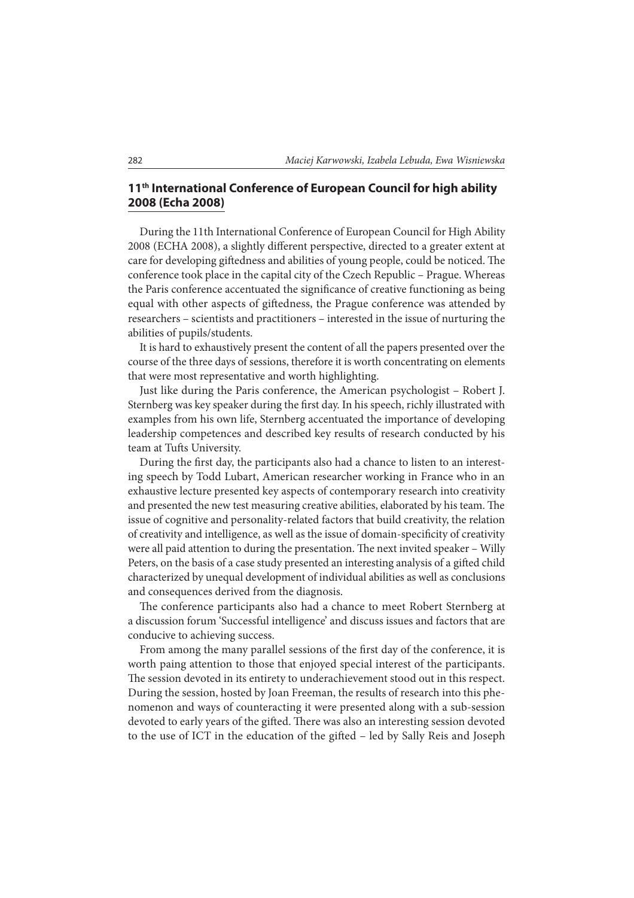### **11th International Conference of European Council for high ability 2008 (Echa 2008)**

During the 11th International Conference of European Council for High Ability 2008 (ECHA 2008), a slightly different perspective, directed to a greater extent at care for developing giftedness and abilities of young people, could be noticed. The conference took place in the capital city of the Czech Republic – Prague. Whereas the Paris conference accentuated the significance of creative functioning as being equal with other aspects of giftedness, the Prague conference was attended by researchers – scientists and practitioners – interested in the issue of nurturing the abilities of pupils/students.

It is hard to exhaustively present the content of all the papers presented over the course of the three days of sessions, therefore it is worth concentrating on elements that were most representative and worth highlighting.

Just like during the Paris conference, the American psychologist – Robert J. Sternberg was key speaker during the first day. In his speech, richly illustrated with examples from his own life, Sternberg accentuated the importance of developing leadership competences and described key results of research conducted by his team at Tufts University.

During the first day, the participants also had a chance to listen to an interesting speech by Todd Lubart, American researcher working in France who in an exhaustive lecture presented key aspects of contemporary research into creativity and presented the new test measuring creative abilities, elaborated by his team. The issue of cognitive and personality-related factors that build creativity, the relation of creativity and intelligence, as well as the issue of domain-specificity of creativity were all paid attention to during the presentation. The next invited speaker - Willy Peters, on the basis of a case study presented an interesting analysis of a gifted child characterized by unequal development of individual abilities as well as conclusions and consequences derived from the diagnosis.

The conference participants also had a chance to meet Robert Sternberg at a discussion forum 'Successful intelligence' and discuss issues and factors that are conducive to achieving success.

From among the many parallel sessions of the first day of the conference, it is worth paing attention to those that enjoyed special interest of the participants. The session devoted in its entirety to underachievement stood out in this respect. During the session, hosted by Joan Freeman, the results of research into this phenomenon and ways of counteracting it were presented along with a sub-session devoted to early years of the gifted. There was also an interesting session devoted to the use of ICT in the education of the gifted - led by Sally Reis and Joseph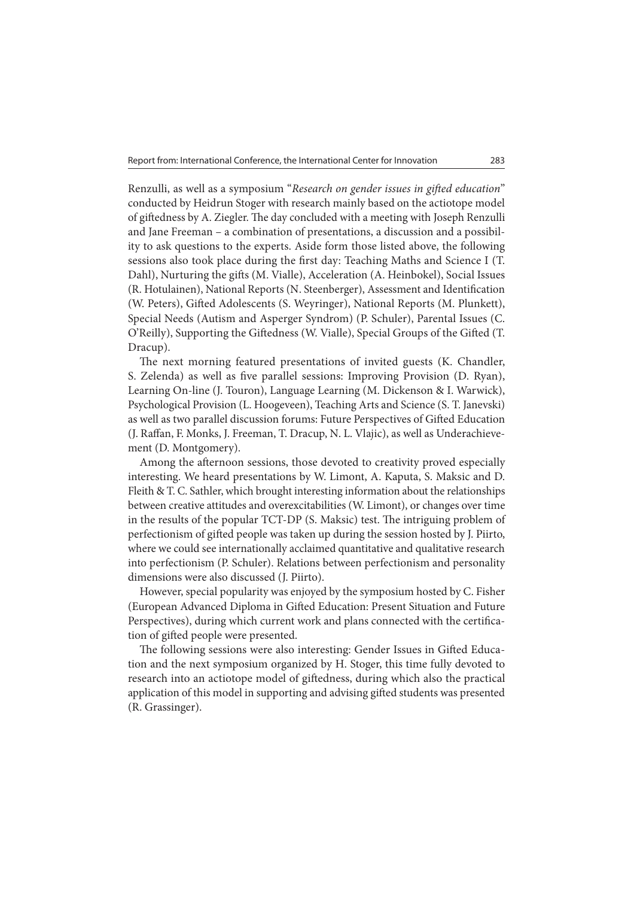Renzulli, as well as a symposium "Research on gender issues in gifted education" conducted by Heidrun Stoger with research mainly based on the actiotope model of giftedness by A. Ziegler. The day concluded with a meeting with Joseph Renzulli and Jane Freeman – a combination of presentations, a discussion and a possibility to ask questions to the experts. Aside form those listed above, the following sessions also took place during the first day: Teaching Maths and Science I (T. Dahl), Nurturing the gifts (M. Vialle), Acceleration (A. Heinbokel), Social Issues (R. Hotulainen), National Reports (N. Steenberger), Assessment and Identification (W. Peters), Gifted Adolescents (S. Weyringer), National Reports (M. Plunkett), Special Needs (Autism and Asperger Syndrom) (P. Schuler), Parental Issues (C. O'Reilly), Supporting the Giftedness (W. Vialle), Special Groups of the Gifted (T. Dracup).

The next morning featured presentations of invited guests (K. Chandler, S. Zelenda) as well as five parallel sessions: Improving Provision (D. Ryan), Learning On-line (J. Touron), Language Learning (M. Dickenson & I. Warwick), Psychological Provision (L. Hoogeveen), Teaching Arts and Science (S. T. Janevski) as well as two parallel discussion forums: Future Perspectives of Gifted Education (J. Raffan, F. Monks, J. Freeman, T. Dracup, N. L. Vlajic), as well as Underachievement (D. Montgomery).

Among the afternoon sessions, those devoted to creativity proved especially interesting. We heard presentations by W. Limont, A. Kaputa, S. Maksic and D. Fleith & T. C. Sathler, which brought interesting information about the relationships between creative attitudes and overexcitabilities (W. Limont), or changes over time in the results of the popular  $TCT-DP$  (S. Maksic) test. The intriguing problem of perfectionism of gifted people was taken up during the session hosted by J. Piirto, where we could see internationally acclaimed quantitative and qualitative research into perfectionism (P. Schuler). Relations between perfectionism and personality dimensions were also discussed (J. Piirto).

However, special popularity was enjoyed by the symposium hosted by C. Fisher (European Advanced Diploma in Gifted Education: Present Situation and Future Perspectives), during which current work and plans connected with the certification of gifted people were presented.

The following sessions were also interesting: Gender Issues in Gifted Education and the next symposium organized by H. Stoger, this time fully devoted to research into an actiotope model of giftedness, during which also the practical application of this model in supporting and advising gifted students was presented (R. Grassinger).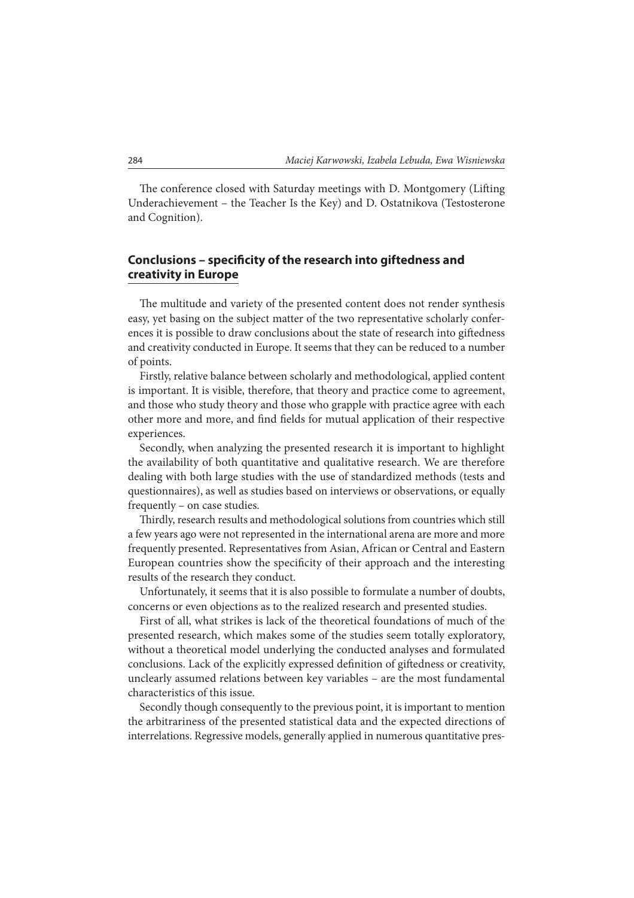The conference closed with Saturday meetings with D. Montgomery (Lifting Underachievement – the Teacher Is the Key) and D. Ostatnikova (Testosterone and Cognition).

#### **Conclusions – specificity of the research into giftedness and creativity in Europe**

The multitude and variety of the presented content does not render synthesis easy, yet basing on the subject matter of the two representative scholarly conferences it is possible to draw conclusions about the state of research into giftedness and creativity conducted in Europe. It seems that they can be reduced to a number of points.

Firstly, relative balance between scholarly and methodological, applied content is important. It is visible, therefore, that theory and practice come to agreement, and those who study theory and those who grapple with practice agree with each other more and more, and find fields for mutual application of their respective experiences.

Secondly, when analyzing the presented research it is important to highlight the availability of both quantitative and qualitative research. We are therefore dealing with both large studies with the use of standardized methods (tests and questionnaires), as well as studies based on interviews or observations, or equally frequently – on case studies.

Thirdly, research results and methodological solutions from countries which still a few years ago were not represented in the international arena are more and more frequently presented. Representatives from Asian, African or Central and Eastern European countries show the specificity of their approach and the interesting results of the research they conduct.

Unfortunately, it seems that it is also possible to formulate a number of doubts, concerns or even objections as to the realized research and presented studies.

First of all, what strikes is lack of the theoretical foundations of much of the presented research, which makes some of the studies seem totally exploratory, without a theoretical model underlying the conducted analyses and formulated conclusions. Lack of the explicitly expressed definition of giftedness or creativity, unclearly assumed relations between key variables – are the most fundamental characteristics of this issue.

Secondly though consequently to the previous point, it is important to mention the arbitrariness of the presented statistical data and the expected directions of interrelations. Regressive models, generally applied in numerous quantitative pres-